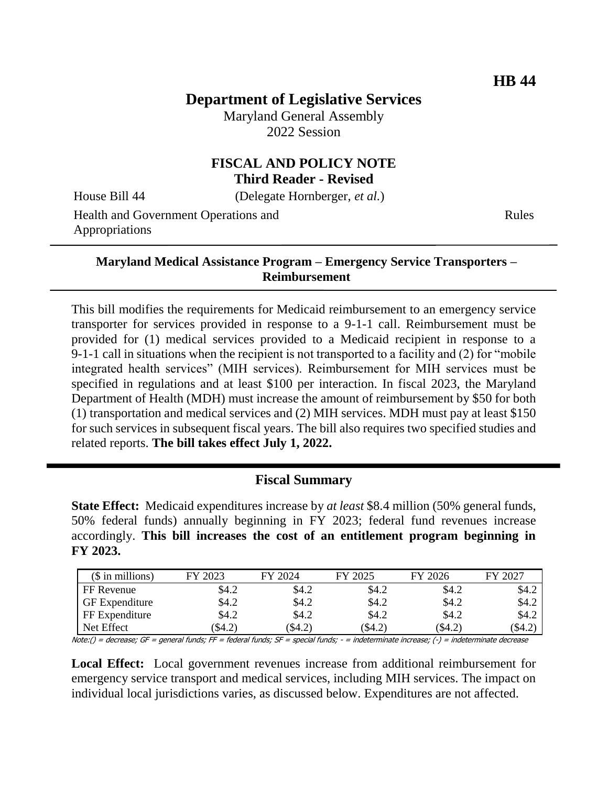# **Department of Legislative Services**

Maryland General Assembly 2022 Session

## **FISCAL AND POLICY NOTE Third Reader - Revised**

House Bill 44 (Delegate Hornberger, *et al.*)

Health and Government Operations and Appropriations

Rules

#### **Maryland Medical Assistance Program – Emergency Service Transporters – Reimbursement**

This bill modifies the requirements for Medicaid reimbursement to an emergency service transporter for services provided in response to a 9-1-1 call. Reimbursement must be provided for (1) medical services provided to a Medicaid recipient in response to a 9-1-1 call in situations when the recipient is not transported to a facility and (2) for "mobile integrated health services" (MIH services). Reimbursement for MIH services must be specified in regulations and at least \$100 per interaction. In fiscal 2023, the Maryland Department of Health (MDH) must increase the amount of reimbursement by \$50 for both (1) transportation and medical services and (2) MIH services. MDH must pay at least \$150 for such services in subsequent fiscal years. The bill also requires two specified studies and related reports. **The bill takes effect July 1, 2022.**

### **Fiscal Summary**

**State Effect:** Medicaid expenditures increase by *at least* \$8.4 million (50% general funds, 50% federal funds) annually beginning in FY 2023; federal fund revenues increase accordingly. **This bill increases the cost of an entitlement program beginning in FY 2023.**

| $($$ in millions)     | FY 2023 | FY 2024  | FY 2025  | FY 2026 | FY 2027 |
|-----------------------|---------|----------|----------|---------|---------|
| FF Revenue            | \$4.2   | \$4.2    | \$4.2    | \$4.2   | \$4.2   |
| <b>GF</b> Expenditure | \$4.2   | \$4.2    | \$4.2    | \$4.2   | \$4.2   |
| FF Expenditure        | \$4.2   | \$4.2    | \$4.2    | \$4.2   | \$4.2   |
| Net Effect            | \$4.2)  | $\$4.2)$ | $\$4.2)$ | (\$4.2) | \$4.2   |

Note:() = decrease; GF = general funds; FF = federal funds; SF = special funds; - = indeterminate increase; (-) = indeterminate decrease

**Local Effect:** Local government revenues increase from additional reimbursement for emergency service transport and medical services, including MIH services. The impact on individual local jurisdictions varies, as discussed below. Expenditures are not affected.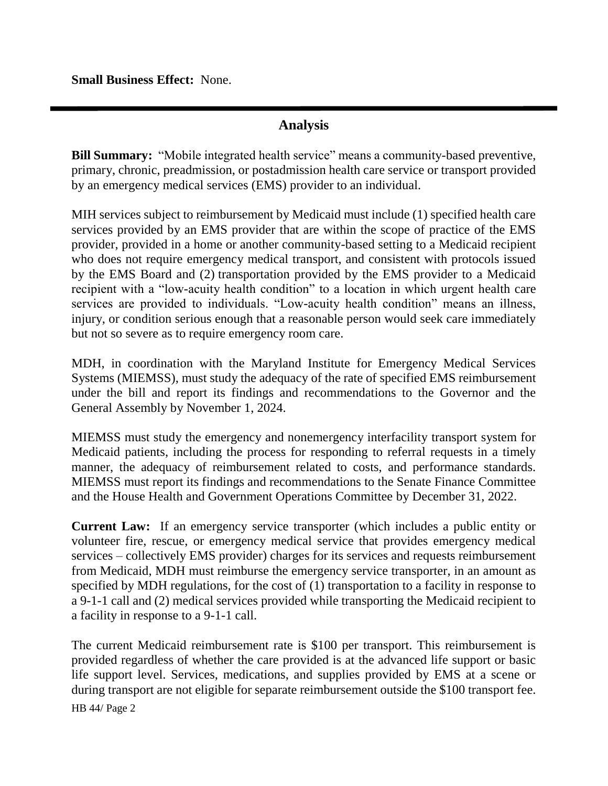**Small Business Effect:** None.

### **Analysis**

**Bill Summary:** "Mobile integrated health service" means a community-based preventive, primary, chronic, preadmission, or postadmission health care service or transport provided by an emergency medical services (EMS) provider to an individual.

MIH services subject to reimbursement by Medicaid must include (1) specified health care services provided by an EMS provider that are within the scope of practice of the EMS provider, provided in a home or another community-based setting to a Medicaid recipient who does not require emergency medical transport, and consistent with protocols issued by the EMS Board and (2) transportation provided by the EMS provider to a Medicaid recipient with a "low-acuity health condition" to a location in which urgent health care services are provided to individuals. "Low-acuity health condition" means an illness, injury, or condition serious enough that a reasonable person would seek care immediately but not so severe as to require emergency room care.

MDH, in coordination with the Maryland Institute for Emergency Medical Services Systems (MIEMSS), must study the adequacy of the rate of specified EMS reimbursement under the bill and report its findings and recommendations to the Governor and the General Assembly by November 1, 2024.

MIEMSS must study the emergency and nonemergency interfacility transport system for Medicaid patients, including the process for responding to referral requests in a timely manner, the adequacy of reimbursement related to costs, and performance standards. MIEMSS must report its findings and recommendations to the Senate Finance Committee and the House Health and Government Operations Committee by December 31, 2022.

**Current Law:** If an emergency service transporter (which includes a public entity or volunteer fire, rescue, or emergency medical service that provides emergency medical services – collectively EMS provider) charges for its services and requests reimbursement from Medicaid, MDH must reimburse the emergency service transporter, in an amount as specified by MDH regulations, for the cost of (1) transportation to a facility in response to a 9-1-1 call and (2) medical services provided while transporting the Medicaid recipient to a facility in response to a 9-1-1 call.

The current Medicaid reimbursement rate is \$100 per transport. This reimbursement is provided regardless of whether the care provided is at the advanced life support or basic life support level. Services, medications, and supplies provided by EMS at a scene or during transport are not eligible for separate reimbursement outside the \$100 transport fee.

HB 44/ Page 2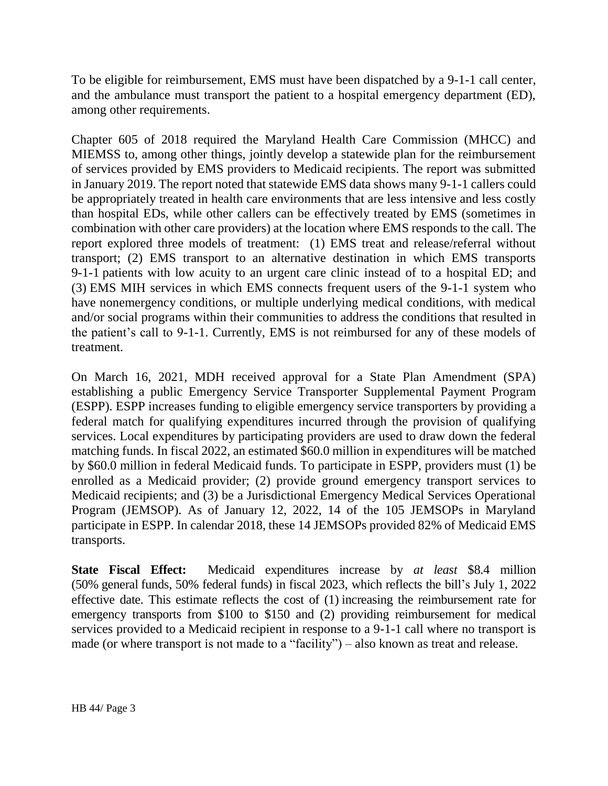To be eligible for reimbursement, EMS must have been dispatched by a 9-1-1 call center, and the ambulance must transport the patient to a hospital emergency department (ED), among other requirements.

Chapter 605 of 2018 required the Maryland Health Care Commission (MHCC) and MIEMSS to, among other things, jointly develop a statewide plan for the reimbursement of services provided by EMS providers to Medicaid recipients. The report was submitted in January 2019. The report noted that statewide EMS data shows many 9-1-1 callers could be appropriately treated in health care environments that are less intensive and less costly than hospital EDs, while other callers can be effectively treated by EMS (sometimes in combination with other care providers) at the location where EMS responds to the call. The report explored three models of treatment: (1) EMS treat and release/referral without transport; (2) EMS transport to an alternative destination in which EMS transports 9-1-1 patients with low acuity to an urgent care clinic instead of to a hospital ED; and (3) EMS MIH services in which EMS connects frequent users of the 9-1-1 system who have nonemergency conditions, or multiple underlying medical conditions, with medical and/or social programs within their communities to address the conditions that resulted in the patient's call to 9-1-1. Currently, EMS is not reimbursed for any of these models of treatment.

On March 16, 2021, MDH received approval for a State Plan Amendment (SPA) establishing a public Emergency Service Transporter Supplemental Payment Program (ESPP). ESPP increases funding to eligible emergency service transporters by providing a federal match for qualifying expenditures incurred through the provision of qualifying services. Local expenditures by participating providers are used to draw down the federal matching funds. In fiscal 2022, an estimated \$60.0 million in expenditures will be matched by \$60.0 million in federal Medicaid funds. To participate in ESPP, providers must (1) be enrolled as a Medicaid provider; (2) provide ground emergency transport services to Medicaid recipients; and (3) be a Jurisdictional Emergency Medical Services Operational Program (JEMSOP). As of January 12, 2022, 14 of the 105 JEMSOPs in Maryland participate in ESPP. In calendar 2018, these 14 JEMSOPs provided 82% of Medicaid EMS transports.

**State Fiscal Effect:** Medicaid expenditures increase by *at least* \$8.4 million (50% general funds, 50% federal funds) in fiscal 2023, which reflects the bill's July 1, 2022 effective date. This estimate reflects the cost of (1) increasing the reimbursement rate for emergency transports from \$100 to \$150 and (2) providing reimbursement for medical services provided to a Medicaid recipient in response to a 9-1-1 call where no transport is made (or where transport is not made to a "facility") – also known as treat and release.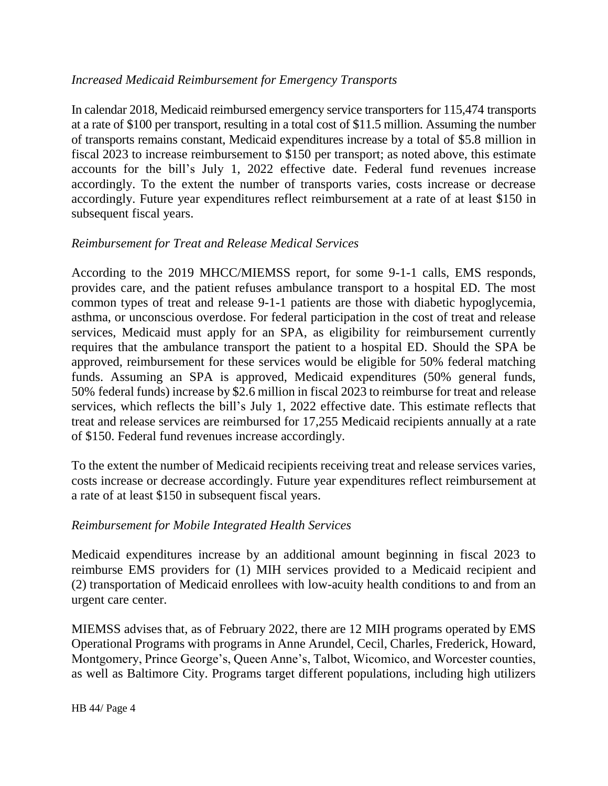### *Increased Medicaid Reimbursement for Emergency Transports*

In calendar 2018, Medicaid reimbursed emergency service transporters for 115,474 transports at a rate of \$100 per transport, resulting in a total cost of \$11.5 million. Assuming the number of transports remains constant, Medicaid expenditures increase by a total of \$5.8 million in fiscal 2023 to increase reimbursement to \$150 per transport; as noted above, this estimate accounts for the bill's July 1, 2022 effective date. Federal fund revenues increase accordingly. To the extent the number of transports varies, costs increase or decrease accordingly. Future year expenditures reflect reimbursement at a rate of at least \$150 in subsequent fiscal years.

### *Reimbursement for Treat and Release Medical Services*

According to the 2019 MHCC/MIEMSS report, for some 9-1-1 calls, EMS responds, provides care, and the patient refuses ambulance transport to a hospital ED. The most common types of treat and release 9-1-1 patients are those with diabetic hypoglycemia, asthma, or unconscious overdose. For federal participation in the cost of treat and release services, Medicaid must apply for an SPA, as eligibility for reimbursement currently requires that the ambulance transport the patient to a hospital ED. Should the SPA be approved, reimbursement for these services would be eligible for 50% federal matching funds. Assuming an SPA is approved, Medicaid expenditures (50% general funds, 50% federal funds) increase by \$2.6 million in fiscal 2023 to reimburse for treat and release services, which reflects the bill's July 1, 2022 effective date. This estimate reflects that treat and release services are reimbursed for 17,255 Medicaid recipients annually at a rate of \$150. Federal fund revenues increase accordingly.

To the extent the number of Medicaid recipients receiving treat and release services varies, costs increase or decrease accordingly. Future year expenditures reflect reimbursement at a rate of at least \$150 in subsequent fiscal years.

## *Reimbursement for Mobile Integrated Health Services*

Medicaid expenditures increase by an additional amount beginning in fiscal 2023 to reimburse EMS providers for (1) MIH services provided to a Medicaid recipient and (2) transportation of Medicaid enrollees with low-acuity health conditions to and from an urgent care center.

MIEMSS advises that, as of February 2022, there are 12 MIH programs operated by EMS Operational Programs with programs in Anne Arundel, Cecil, Charles, Frederick, Howard, Montgomery, Prince George's, Queen Anne's, Talbot, Wicomico, and Worcester counties, as well as Baltimore City. Programs target different populations, including high utilizers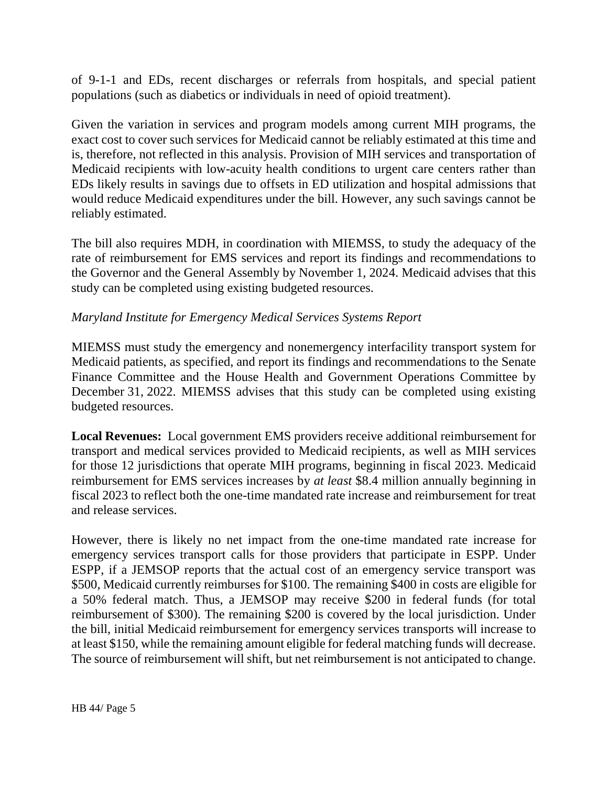of 9-1-1 and EDs, recent discharges or referrals from hospitals, and special patient populations (such as diabetics or individuals in need of opioid treatment).

Given the variation in services and program models among current MIH programs, the exact cost to cover such services for Medicaid cannot be reliably estimated at this time and is, therefore, not reflected in this analysis. Provision of MIH services and transportation of Medicaid recipients with low-acuity health conditions to urgent care centers rather than EDs likely results in savings due to offsets in ED utilization and hospital admissions that would reduce Medicaid expenditures under the bill. However, any such savings cannot be reliably estimated.

The bill also requires MDH, in coordination with MIEMSS, to study the adequacy of the rate of reimbursement for EMS services and report its findings and recommendations to the Governor and the General Assembly by November 1, 2024. Medicaid advises that this study can be completed using existing budgeted resources.

### *Maryland Institute for Emergency Medical Services Systems Report*

MIEMSS must study the emergency and nonemergency interfacility transport system for Medicaid patients, as specified, and report its findings and recommendations to the Senate Finance Committee and the House Health and Government Operations Committee by December 31, 2022. MIEMSS advises that this study can be completed using existing budgeted resources.

**Local Revenues:** Local government EMS providers receive additional reimbursement for transport and medical services provided to Medicaid recipients, as well as MIH services for those 12 jurisdictions that operate MIH programs, beginning in fiscal 2023. Medicaid reimbursement for EMS services increases by *at least* \$8.4 million annually beginning in fiscal 2023 to reflect both the one-time mandated rate increase and reimbursement for treat and release services.

However, there is likely no net impact from the one-time mandated rate increase for emergency services transport calls for those providers that participate in ESPP. Under ESPP, if a JEMSOP reports that the actual cost of an emergency service transport was \$500, Medicaid currently reimburses for \$100. The remaining \$400 in costs are eligible for a 50% federal match. Thus, a JEMSOP may receive \$200 in federal funds (for total reimbursement of \$300). The remaining \$200 is covered by the local jurisdiction. Under the bill, initial Medicaid reimbursement for emergency services transports will increase to at least \$150, while the remaining amount eligible for federal matching funds will decrease. The source of reimbursement will shift, but net reimbursement is not anticipated to change.